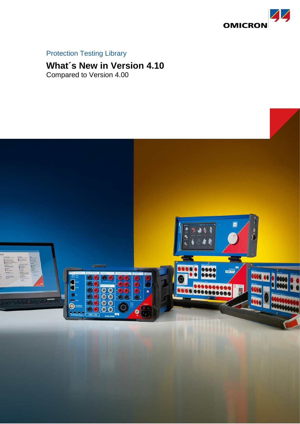

## Protection Testing Library

# **What´s New in Version 4.10**

Compared to Version 4.00

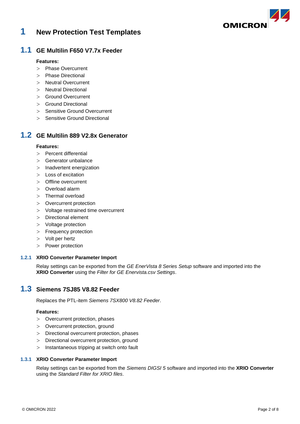

## **1 New Protection Test Templates**

### **1.1 GE Multilin F650 V7.7x Feeder**

#### **Features:**

- > Phase Overcurrent
- > Phase Directional
- > Neutral Overcurrent
- > Neutral Directional
- > Ground Overcurrent
- > Ground Directional
- > Sensitive Ground Overcurrent
- > Sensitive Ground Directional

## **1.2 GE Multilin 889 V2.8x Generator**

#### **Features:**

- > Percent differential
- > Generator unbalance
- > Inadvertent energization
- > Loss of excitation
- > Offline overcurrent
- > Overload alarm
- > Thermal overload
- > Overcurrent protection
- > Voltage restrained time overcurrent
- > Directional element
- > Voltage protection
- > Frequency protection
- > Volt per hertz
- > Power protection

### **1.2.1 XRIO Converter Parameter Import**

Relay settings can be exported from the *GE EnerVista 8 Series Setup* software and imported into the **XRIO Converter** using the *Filter for GE Enervista.csv Settings*.

## **1.3 Siemens 7SJ85 V8.82 Feeder**

Replaces the PTL-item *Siemens 7SX800 V8.82 Feeder*.

#### **Features:**

- > Overcurrent protection, phases
- > Overcurrent protection, ground
- > Directional overcurrent protection, phases
- > Directional overcurrent protection, ground
- > Instantaneous tripping at switch onto fault

#### **1.3.1 XRIO Converter Parameter Import**

Relay settings can be exported from the *Siemens DIGSI 5* software and imported into the **XRIO Converter** using the *Standard Filter for XRIO files*.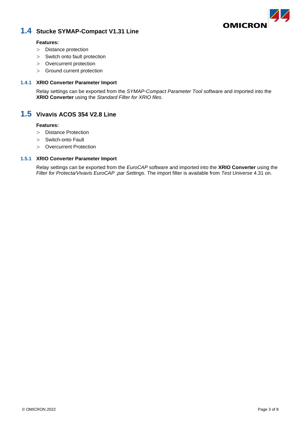

## **1.4 Stucke SYMAP-Compact V1.31 Line**

#### **Features:**

- > Distance protection
- > Switch onto fault protection
- > Overcurrent protection
- > Ground current protection

### **1.4.1 XRIO Converter Parameter Import**

Relay settings can be exported from the *SYMAP-Compact Parameter Tool* software and imported into the **XRIO Converter** using the *Standard Filter for XRIO files*.

## **1.5 Vivavis ACOS 354 V2.8 Line**

#### **Features:**

- > Distance Protection
- > Switch-onto Fault
- > Overcurrent Protection

#### **1.5.1 XRIO Converter Parameter Import**

Relay settings can be exported from the *EuroCAP* software and imported into the **XRIO Converter** using the *Filter for Protecta/Vivavis EuroCAP .par Settings.* The import filter is available from *Test Universe* 4.31 on.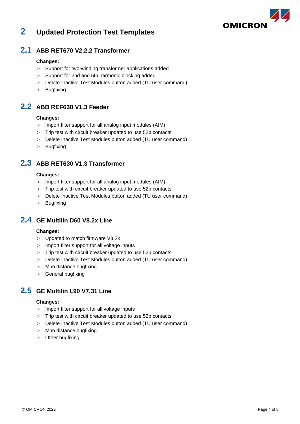

## **2 Updated Protection Test Templates**

## **2.1 ABB RET670 V2.2.2 Transformer**

### **Changes:**

- > Support for two-winding transformer applications added
- > Support for 2nd and 5th harmonic blocking added
- > Delete Inactive Test Modules button added (TU user command)
- > Bugfixing

## **2.2 ABB REF630 V1.3 Feeder**

### **Changes:**

- > Import filter support for all analog input modules (AIM)
- > Trip test with circuit breaker updated to use 52b contacts
- > Delete Inactive Test Modules button added (TU user command)
- > Bugfixing

## **2.3 ABB RET630 V1.3 Transformer**

### **Changes:**

- > Import filter support for all analog input modules (AIM)
- > Trip test with circuit breaker updated to use 52b contacts
- > Delete Inactive Test Modules button added (TU user command)
- > Bugfixing

## **2.4 GE Multilin D60 V8.2x Line**

#### **Changes:**

- > Updated to match firmware V8.2x
- > Import filter support for all voltage inputs
- > Trip test with circuit breaker updated to use 52b contacts
- > Delete Inactive Test Modules button added (TU user command)
- > Mho distance bugfixing
- > General bugfixing

## **2.5 GE Multilin L90 V7.31 Line**

#### **Changes:**

- > Import filter support for all voltage inputs
- > Trip test with circuit breaker updated to use 52b contacts
- > Delete Inactive Test Modules button added (TU user command)
- > Mho distance bugfixing
- > Other bugfixing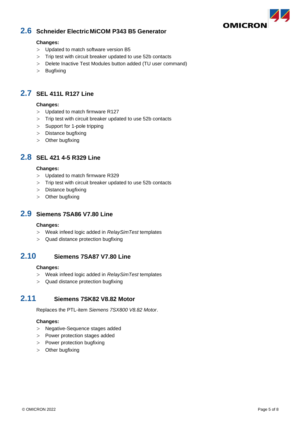

## **2.6 Schneider ElectricMiCOM P343 B5 Generator**

### **Changes:**

- > Updated to match software version B5
- > Trip test with circuit breaker updated to use 52b contacts
- > Delete Inactive Test Modules button added (TU user command)
- > Bugfixing

## **2.7 SEL 411L R127 Line**

### **Changes:**

- > Updated to match firmware R127
- > Trip test with circuit breaker updated to use 52b contacts
- > Support for 1-pole tripping
- > Distance bugfixing
- > Other bugfixing

## **2.8 SEL 421 4-5 R329 Line**

#### **Changes:**

- > Updated to match firmware R329
- > Trip test with circuit breaker updated to use 52b contacts
- > Distance bugfixing
- > Other bugfixing

## **2.9 Siemens 7SA86 V7.80 Line**

#### **Changes:**

- > Weak infeed logic added in *RelaySimTest* templates
- > Quad distance protection bugfixing

## **2.10 Siemens 7SA87 V7.80 Line**

#### **Changes:**

- > Weak infeed logic added in *RelaySimTest* templates
- > Quad distance protection bugfixing

## **2.11 Siemens 7SK82 V8.82 Motor**

Replaces the PTL-item *Siemens 7SX800 V8.82 Motor*.

### **Changes:**

- > Negative-Sequence stages added
- > Power protection stages added
- > Power protection bugfixing
- > Other bugfixing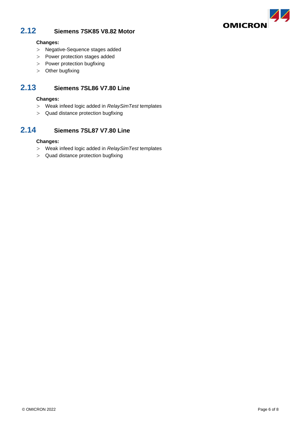

## **2.12 Siemens 7SK85 V8.82 Motor**

### **Changes:**

- > Negative-Sequence stages added
- > Power protection stages added
- > Power protection bugfixing
- > Other bugfixing

## **2.13 Siemens 7SL86 V7.80 Line**

#### **Changes:**

- > Weak infeed logic added in *RelaySimTest* templates
- > Quad distance protection bugfixing

## **2.14 Siemens 7SL87 V7.80 Line**

### **Changes:**

- > Weak infeed logic added in *RelaySimTest* templates
- > Quad distance protection bugfixing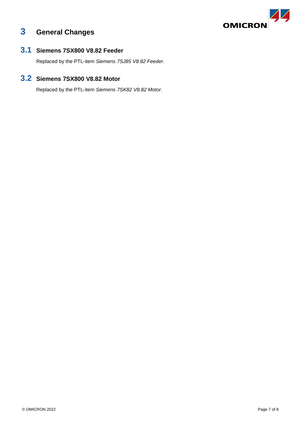

## **3 General Changes**

## **3.1 Siemens 7SX800 V8.82 Feeder**

Replaced by the PTL-item *Siemens 7SJ85 V8.82 Feeder*.

## **3.2 Siemens 7SX800 V8.82 Motor**

Replaced by the PTL-item *Siemens 7SK82 V8.82 Motor*.